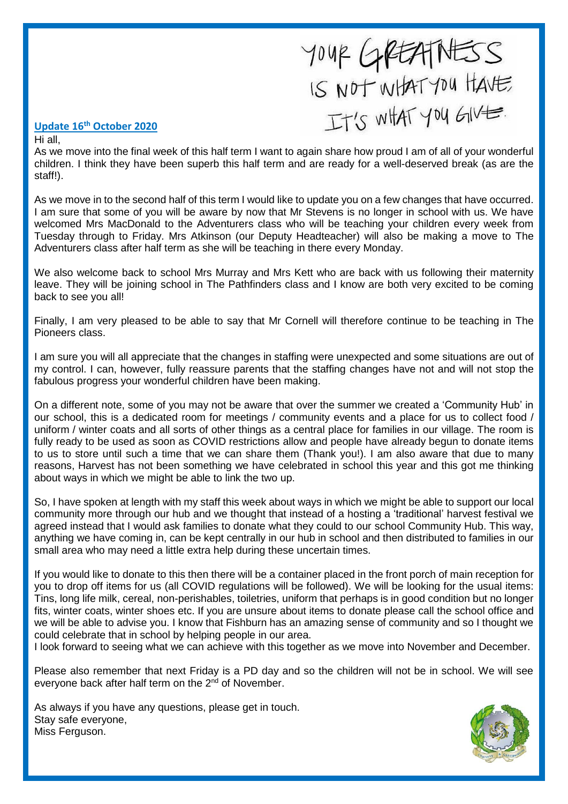# YOUR GREATNESS

#### **Update 16th October 2020**

Hi all,

As we move into the final week of this half term I want to again share how proud I am of all of your wonderful children. I think they have been superb this half term and are ready for a well-deserved break (as are the staff!).

As we move in to the second half of this term I would like to update you on a few changes that have occurred. I am sure that some of you will be aware by now that Mr Stevens is no longer in school with us. We have welcomed Mrs MacDonald to the Adventurers class who will be teaching your children every week from Tuesday through to Friday. Mrs Atkinson (our Deputy Headteacher) will also be making a move to The Adventurers class after half term as she will be teaching in there every Monday.

We also welcome back to school Mrs Murray and Mrs Kett who are back with us following their maternity leave. They will be joining school in The Pathfinders class and I know are both very excited to be coming back to see you all!

Finally, I am very pleased to be able to say that Mr Cornell will therefore continue to be teaching in The Pioneers class.

I am sure you will all appreciate that the changes in staffing were unexpected and some situations are out of my control. I can, however, fully reassure parents that the staffing changes have not and will not stop the fabulous progress your wonderful children have been making.

On a different note, some of you may not be aware that over the summer we created a 'Community Hub' in our school, this is a dedicated room for meetings / community events and a place for us to collect food / uniform / winter coats and all sorts of other things as a central place for families in our village. The room is fully ready to be used as soon as COVID restrictions allow and people have already begun to donate items to us to store until such a time that we can share them (Thank you!). I am also aware that due to many reasons, Harvest has not been something we have celebrated in school this year and this got me thinking about ways in which we might be able to link the two up.

So, I have spoken at length with my staff this week about ways in which we might be able to support our local community more through our hub and we thought that instead of a hosting a 'traditional' harvest festival we agreed instead that I would ask families to donate what they could to our school Community Hub. This way, anything we have coming in, can be kept centrally in our hub in school and then distributed to families in our small area who may need a little extra help during these uncertain times.

If you would like to donate to this then there will be a container placed in the front porch of main reception for you to drop off items for us (all COVID regulations will be followed). We will be looking for the usual items: Tins, long life milk, cereal, non-perishables, toiletries, uniform that perhaps is in good condition but no longer fits, winter coats, winter shoes etc. If you are unsure about items to donate please call the school office and we will be able to advise you. I know that Fishburn has an amazing sense of community and so I thought we could celebrate that in school by helping people in our area.

I look forward to seeing what we can achieve with this together as we move into November and December.

Please also remember that next Friday is a PD day and so the children will not be in school. We will see everyone back after half term on the 2<sup>nd</sup> of November.

As always if you have any questions, please get in touch. Stay safe everyone, Miss Ferguson.